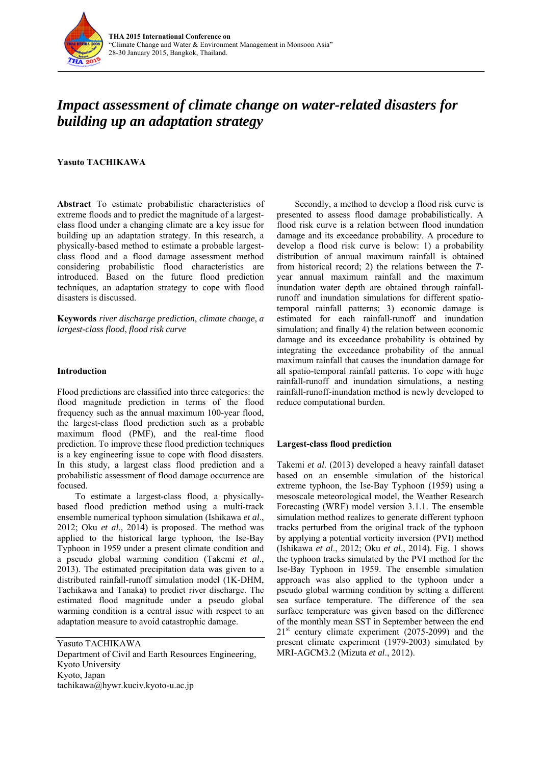

# *Impact assessment of climate change on water-related disasters for building up an adaptation strategy*

# **Yasuto TACHIKAWA**

**Abstract** To estimate probabilistic characteristics of extreme floods and to predict the magnitude of a largestclass flood under a changing climate are a key issue for building up an adaptation strategy. In this research, a physically-based method to estimate a probable largestclass flood and a flood damage assessment method considering probabilistic flood characteristics are introduced. Based on the future flood prediction techniques, an adaptation strategy to cope with flood disasters is discussed.

**Keywords** *river discharge prediction*, *climate change*, *a largest-class flood*, *flood risk curve* 

## **Introduction**

Flood predictions are classified into three categories: the flood magnitude prediction in terms of the flood frequency such as the annual maximum 100-year flood, the largest-class flood prediction such as a probable maximum flood (PMF), and the real-time flood prediction. To improve these flood prediction techniques is a key engineering issue to cope with flood disasters. In this study, a largest class flood prediction and a probabilistic assessment of flood damage occurrence are focused.

To estimate a largest-class flood, a physicallybased flood prediction method using a multi-track ensemble numerical typhoon simulation (Ishikawa *et al*., 2012; Oku *et al*., 2014) is proposed. The method was applied to the historical large typhoon, the Ise-Bay Typhoon in 1959 under a present climate condition and a pseudo global warming condition (Takemi *et al*., 2013). The estimated precipitation data was given to a distributed rainfall-runoff simulation model (1K-DHM, Tachikawa and Tanaka) to predict river discharge. The estimated flood magnitude under a pseudo global warming condition is a central issue with respect to an adaptation measure to avoid catastrophic damage.

Yasuto TACHIKAWA Department of Civil and Earth Resources Engineering, Kyoto University Kyoto, Japan tachikawa@hywr.kuciv.kyoto-u.ac.jp

Secondly, a method to develop a flood risk curve is presented to assess flood damage probabilistically. A flood risk curve is a relation between flood inundation damage and its exceedance probability. A procedure to develop a flood risk curve is below: 1) a probability distribution of annual maximum rainfall is obtained from historical record; 2) the relations between the *T*year annual maximum rainfall and the maximum inundation water depth are obtained through rainfallrunoff and inundation simulations for different spatiotemporal rainfall patterns; 3) economic damage is estimated for each rainfall-runoff and inundation simulation; and finally 4) the relation between economic damage and its exceedance probability is obtained by integrating the exceedance probability of the annual maximum rainfall that causes the inundation damage for all spatio-temporal rainfall patterns. To cope with huge rainfall-runoff and inundation simulations, a nesting rainfall-runoff-inundation method is newly developed to reduce computational burden.

# **Largest-class flood prediction**

Takemi *et al*. (2013) developed a heavy rainfall dataset based on an ensemble simulation of the historical extreme typhoon, the Ise-Bay Typhoon (1959) using a mesoscale meteorological model, the Weather Research Forecasting (WRF) model version 3.1.1. The ensemble simulation method realizes to generate different typhoon tracks perturbed from the original track of the typhoon by applying a potential vorticity inversion (PVI) method (Ishikawa *et al*., 2012; Oku *et al*., 2014). Fig. 1 shows the typhoon tracks simulated by the PVI method for the Ise-Bay Typhoon in 1959. The ensemble simulation approach was also applied to the typhoon under a pseudo global warming condition by setting a different sea surface temperature. The difference of the sea surface temperature was given based on the difference of the monthly mean SST in September between the end  $21<sup>st</sup>$  century climate experiment (2075-2099) and the present climate experiment (1979-2003) simulated by MRI-AGCM3.2 (Mizuta *et al*., 2012).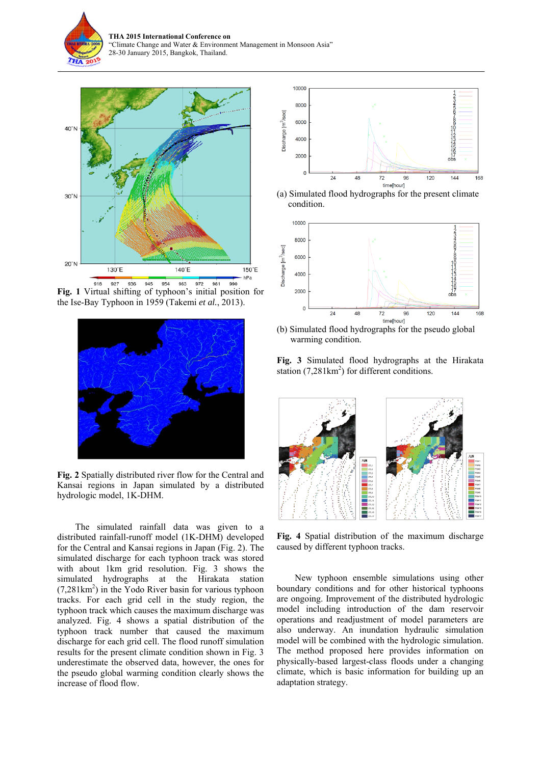



**Fig. 1** Virtual shifting of typhoon's initial position for the Ise-Bay Typhoon in 1959 (Takemi *et al.*, 2013).



**Fig. 2** Spatially distributed river flow for the Central and Kansai regions in Japan simulated by a distributed hydrologic model, 1K-DHM.

The simulated rainfall data was given to a distributed rainfall-runoff model (1K-DHM) developed for the Central and Kansai regions in Japan (Fig. 2). The simulated discharge for each typhoon track was stored with about 1km grid resolution. Fig. 3 shows the simulated hydrographs at the Hirakata station  $(7,281 \text{ km}^2)$  in the Yodo River basin for various typhoon tracks. For each grid cell in the study region, the typhoon track which causes the maximum discharge was analyzed. Fig. 4 shows a spatial distribution of the typhoon track number that caused the maximum discharge for each grid cell. The flood runoff simulation results for the present climate condition shown in Fig. 3 underestimate the observed data, however, the ones for the pseudo global warming condition clearly shows the increase of flood flow.



(a) Simulated flood hydrographs for the present climate condition.



(b) Simulated flood hydrographs for the pseudo global warming condition.

**Fig. 3** Simulated flood hydrographs at the Hirakata station (7,281km<sup>2</sup>) for different conditions.



**Fig. 4** Spatial distribution of the maximum discharge caused by different typhoon tracks.

New typhoon ensemble simulations using other boundary conditions and for other historical typhoons are ongoing. Improvement of the distributed hydrologic model including introduction of the dam reservoir operations and readjustment of model parameters are also underway. An inundation hydraulic simulation model will be combined with the hydrologic simulation. The method proposed here provides information on physically-based largest-class floods under a changing climate, which is basic information for building up an adaptation strategy.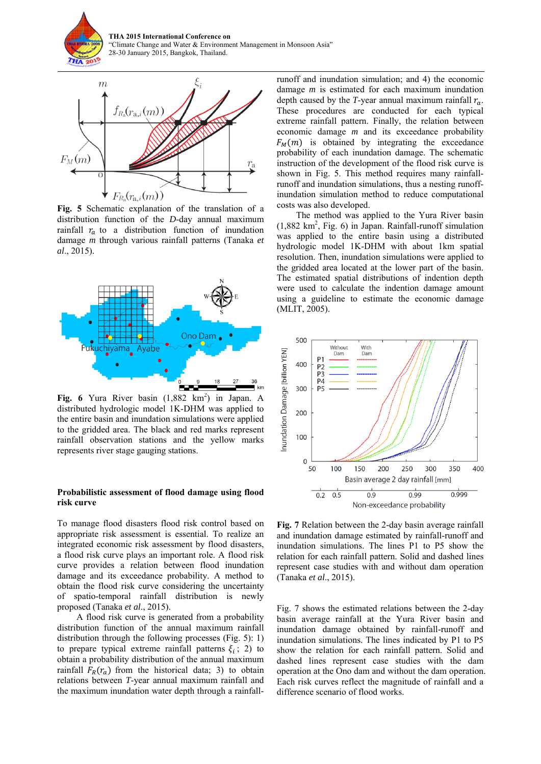



**Fig. 5** Schematic explanation of the translation of a distribution function of the *D*-day annual maximum rainfall  $r_a$  to a distribution function of inundation damage *m* through various rainfall patterns (Tanaka *et al*., 2015).



Fig. 6 Yura River basin  $(1,882 \text{ km}^2)$  in Japan. A distributed hydrologic model 1K-DHM was applied to the entire basin and inundation simulations were applied to the gridded area. The black and red marks represent rainfall observation stations and the yellow marks represents river stage gauging stations.

### **Probabilistic assessment of flood damage using flood risk curve**

To manage flood disasters flood risk control based on appropriate risk assessment is essential. To realize an integrated economic risk assessment by flood disasters, a flood risk curve plays an important role. A flood risk curve provides a relation between flood inundation damage and its exceedance probability. A method to obtain the flood risk curve considering the uncertainty of spatio-temporal rainfall distribution is newly proposed (Tanaka *et al*., 2015).

A flood risk curve is generated from a probability distribution function of the annual maximum rainfall distribution through the following processes (Fig. 5): 1) to prepare typical extreme rainfall patterns  $\xi_i$ ; 2) to obtain a probability distribution of the annual maximum rainfall  $F_R(r_a)$  from the historical data; 3) to obtain relations between *T*-year annual maximum rainfall and the maximum inundation water depth through a rainfallrunoff and inundation simulation; and 4) the economic damage *m* is estimated for each maximum inundation depth caused by the *T*-year annual maximum rainfall  $r_a$ . These procedures are conducted for each typical extreme rainfall pattern. Finally, the relation between economic damage *m* and its exceedance probability  $F_M(m)$  is obtained by integrating the exceedance probability of each inundation damage. The schematic instruction of the development of the flood risk curve is shown in Fig. 5. This method requires many rainfallrunoff and inundation simulations, thus a nesting runoffinundation simulation method to reduce computational costs was also developed.

The method was applied to the Yura River basin  $(1,882 \text{ km}^2, \text{Fig. 6})$  in Japan. Rainfall-runoff simulation was applied to the entire basin using a distributed hydrologic model 1K-DHM with about 1km spatial resolution. Then, inundation simulations were applied to the gridded area located at the lower part of the basin. The estimated spatial distributions of indention depth were used to calculate the indention damage amount using a guideline to estimate the economic damage (MLIT, 2005).



**Fig. 7** Relation between the 2-day basin average rainfall and inundation damage estimated by rainfall-runoff and inundation simulations. The lines P1 to P5 show the relation for each rainfall pattern. Solid and dashed lines represent case studies with and without dam operation (Tanaka *et al*., 2015).

Fig. 7 shows the estimated relations between the 2-day basin average rainfall at the Yura River basin and inundation damage obtained by rainfall-runoff and inundation simulations. The lines indicated by P1 to P5 show the relation for each rainfall pattern. Solid and dashed lines represent case studies with the dam operation at the Ono dam and without the dam operation. Each risk curves reflect the magnitude of rainfall and a difference scenario of flood works.